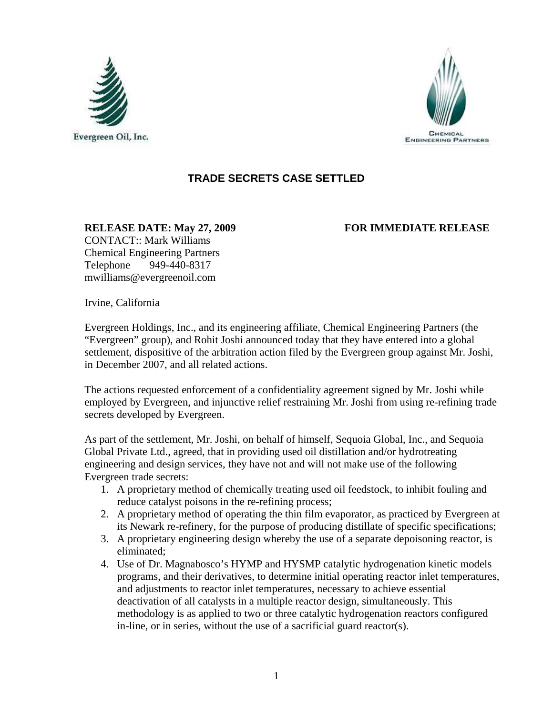



## **TRADE SECRETS CASE SETTLED**

**RELEASE DATE: May 27, 2009 FOR IMMEDIATE RELEASE**  CONTACT:: Mark Williams Chemical Engineering Partners Telephone 949-440-8317 mwilliams@evergreenoil.com

Irvine, California

Evergreen Holdings, Inc., and its engineering affiliate, Chemical Engineering Partners (the "Evergreen" group), and Rohit Joshi announced today that they have entered into a global settlement, dispositive of the arbitration action filed by the Evergreen group against Mr. Joshi, in December 2007, and all related actions.

The actions requested enforcement of a confidentiality agreement signed by Mr. Joshi while employed by Evergreen, and injunctive relief restraining Mr. Joshi from using re-refining trade secrets developed by Evergreen.

As part of the settlement, Mr. Joshi, on behalf of himself, Sequoia Global, Inc., and Sequoia Global Private Ltd., agreed, that in providing used oil distillation and/or hydrotreating engineering and design services, they have not and will not make use of the following Evergreen trade secrets:

- 1. A proprietary method of chemically treating used oil feedstock, to inhibit fouling and reduce catalyst poisons in the re-refining process;
- 2. A proprietary method of operating the thin film evaporator, as practiced by Evergreen at its Newark re-refinery, for the purpose of producing distillate of specific specifications;
- 3. A proprietary engineering design whereby the use of a separate depoisoning reactor, is eliminated;
- 4. Use of Dr. Magnabosco's HYMP and HYSMP catalytic hydrogenation kinetic models programs, and their derivatives, to determine initial operating reactor inlet temperatures, and adjustments to reactor inlet temperatures, necessary to achieve essential deactivation of all catalysts in a multiple reactor design, simultaneously. This methodology is as applied to two or three catalytic hydrogenation reactors configured in-line, or in series, without the use of a sacrificial guard reactor(s).